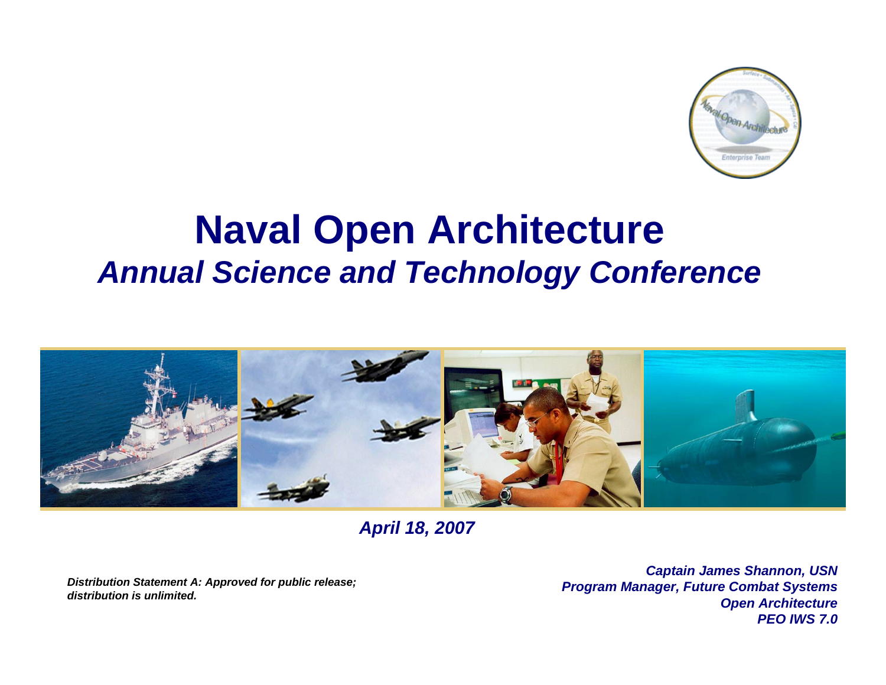

# **Naval Open Architecture**  *Annual Science and Technology Conference*



*April 18, 2007*

*Distribution Statement A: Approved for public release; distribution is unlimited.*

*Captain James Shannon, USN Program Manager, Future Combat Systems Open Architecture PEO IWS 7.0*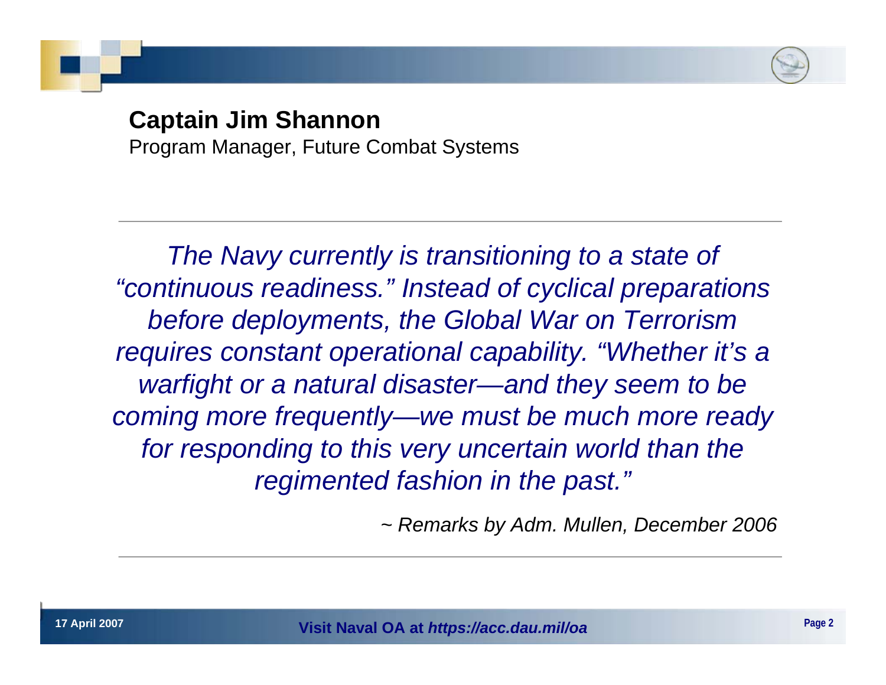

## **Captain Jim Shannon**

Program Manager, Future Combat Systems

*The Navy currently is transitioning to a state of "continuous readiness." Instead of cyclical preparations before deployments, the Global War on Terrorism requires constant operational capability. "Whether it's a warfight or a natural disaster—and they seem to be coming more frequently—we must be much more ready for responding to this very uncertain world than the regimented fashion in the past."*

*~ Remarks by Adm. Mullen, December 2006*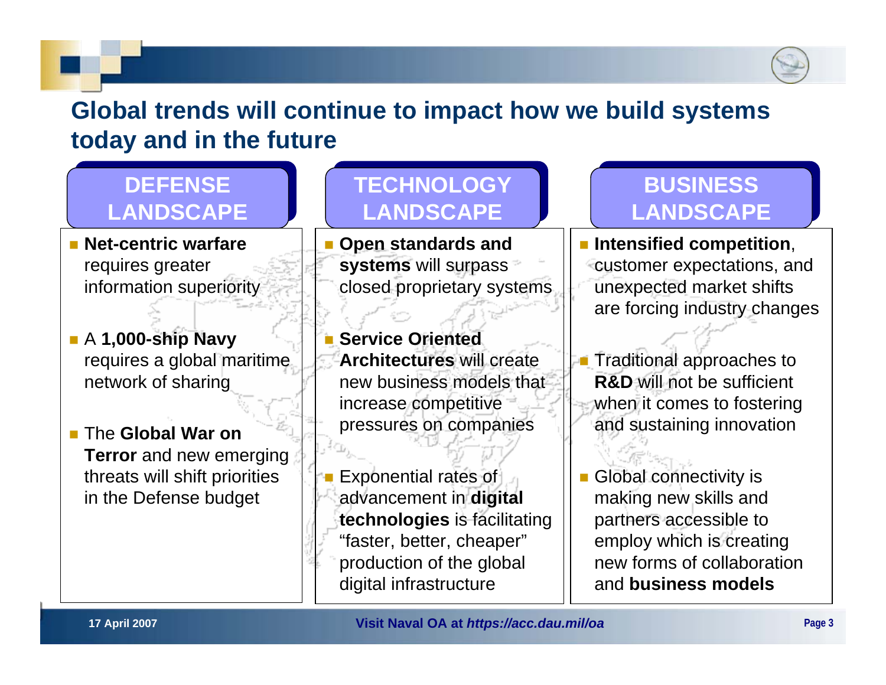

## **Global trends will continue to impact how we build systems today and in the future**

## **DEFENSE DEFENSE LANDSCAPE LANDSCAPE**

 **Net-centric warfare** requires greater information superiority

 A **1,000-ship Navy** requires a global maritime network of sharing

■ The **Global War on Terror** and new emerging threats will shift priorities in the Defense budget

## **TECHNOLOGY TECHNOLOGY LANDSCAPE LANDSCAPE**

 **Open standards and systems** will surpass closed proprietary systems

 **Service Oriented Architectures** will create new business models that increase competitive pressures on companies

 Exponential rates of advancement in **digital technologies** is facilitating "faster, better, cheaper" production of the global digital infrastructure

## **BUSINESS BUSINESS LANDSCAPE LANDSCAPE**

 **Intensified competition**, customer expectations, and unexpected market shifts are forcing industry changes

× Traditional approaches to **R&D** will not be sufficient when it comes to fostering and sustaining innovation

Т, Global connectivity is making new skills and partners accessible to employ which is creating new forms of collaboration and **business models**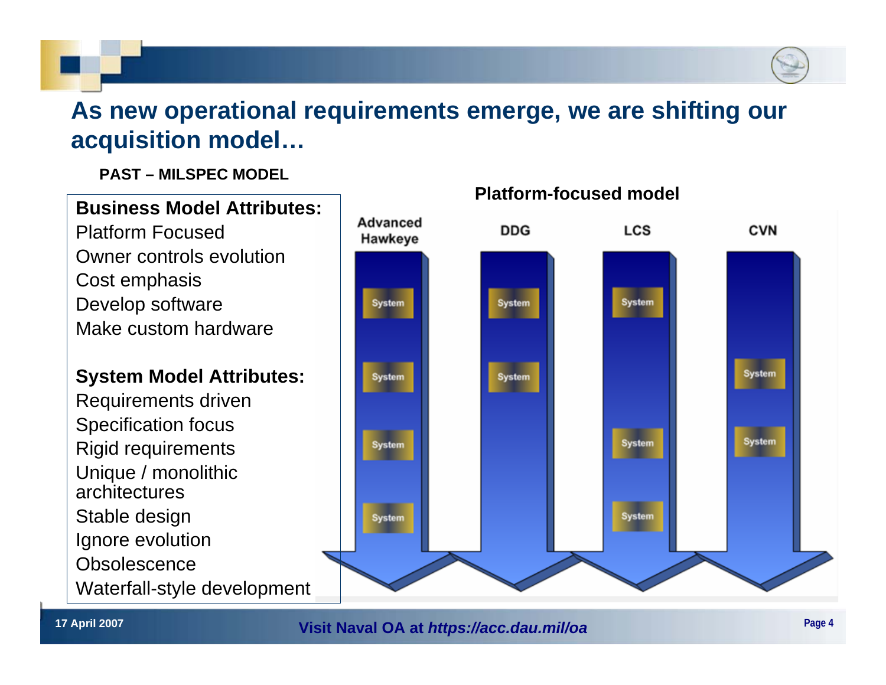## **As new operational requirements emerge, we are shifting our acquisition model…**

**PAST – MILSPEC MODEL**

## **Business Model Attributes:**

Platform FocusedOwner controls evolutionCost emphasis Develop software Make custom hardware

## **System Model Attributes:**

Requirements driven Specification focus Rigid requirements Unique / monolithic architecturesStable design Ignore evolution **Obsolescence** Waterfall-style development



### **Platform-focused model**

**17 April 2007 Page 4 Visit Naval OA at** *https://acc.dau.mil/oa*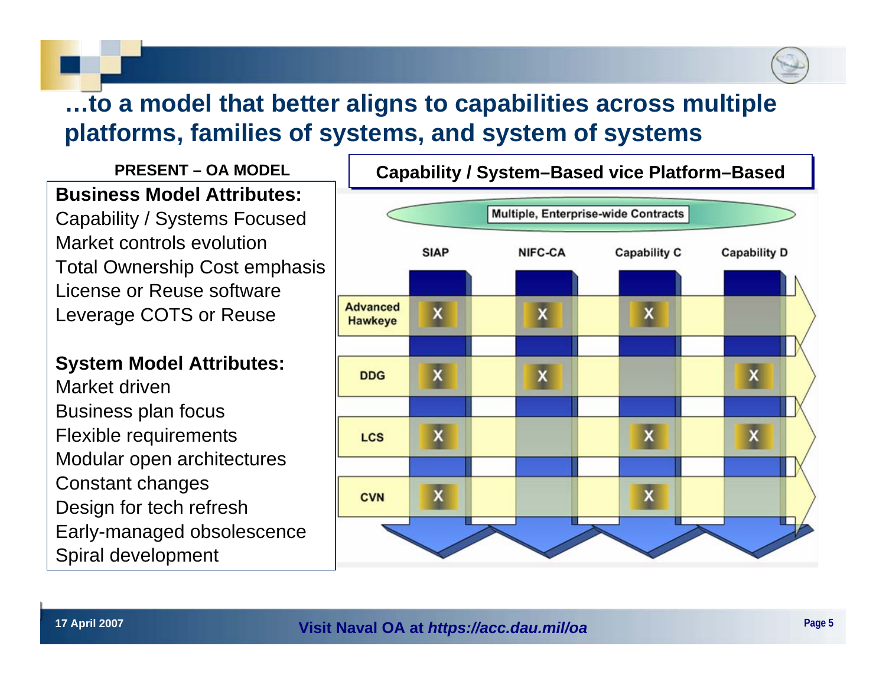## **…to a model that better aligns to capabilities across multiple platforms, families of systems, and system of systems**

**PRESENT – OA MODELBusiness Model Attributes:**Capability / Systems Focused Market controls evolutionTotal Ownership Cost emphasis License or Reuse softwareLeverage COTS or Reuse

**System Model Attributes:**

Market drivenBusiness plan focus Flexible requirements Modular open architectures Constant changes Design for tech refresh Early-managed obsolescence Spiral development

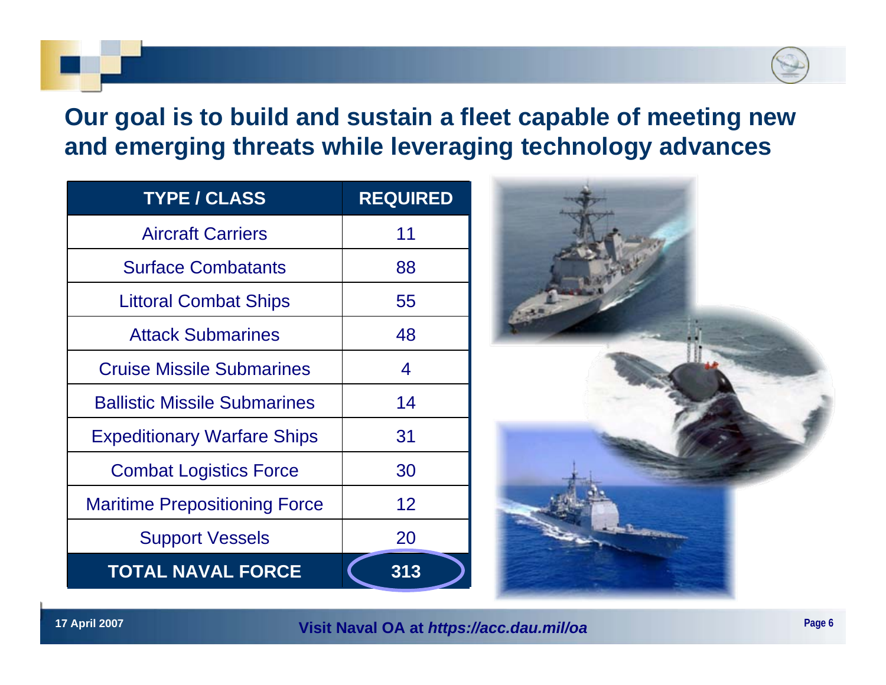## **Our goal is to build and sustain a fleet capable of meeting new and emerging threats while leveraging technology advances**

| <b>TYPE / CLASS</b>                  | <b>REQUIRED</b> |
|--------------------------------------|-----------------|
| <b>Aircraft Carriers</b>             | 11              |
| <b>Surface Combatants</b>            | 88              |
| <b>Littoral Combat Ships</b>         | 55              |
| <b>Attack Submarines</b>             | 48              |
| <b>Cruise Missile Submarines</b>     | 4               |
| <b>Ballistic Missile Submarines</b>  | 14              |
| <b>Expeditionary Warfare Ships</b>   | 31              |
| <b>Combat Logistics Force</b>        | 30              |
| <b>Maritime Prepositioning Force</b> | 12 <sup>2</sup> |
| <b>Support Vessels</b>               | 20              |
| <b>TOTAL NAVAL FORCE</b>             | 313             |



**17 April 2007 Page 6 Visit Naval OA at** *https://acc.dau.mil/oa*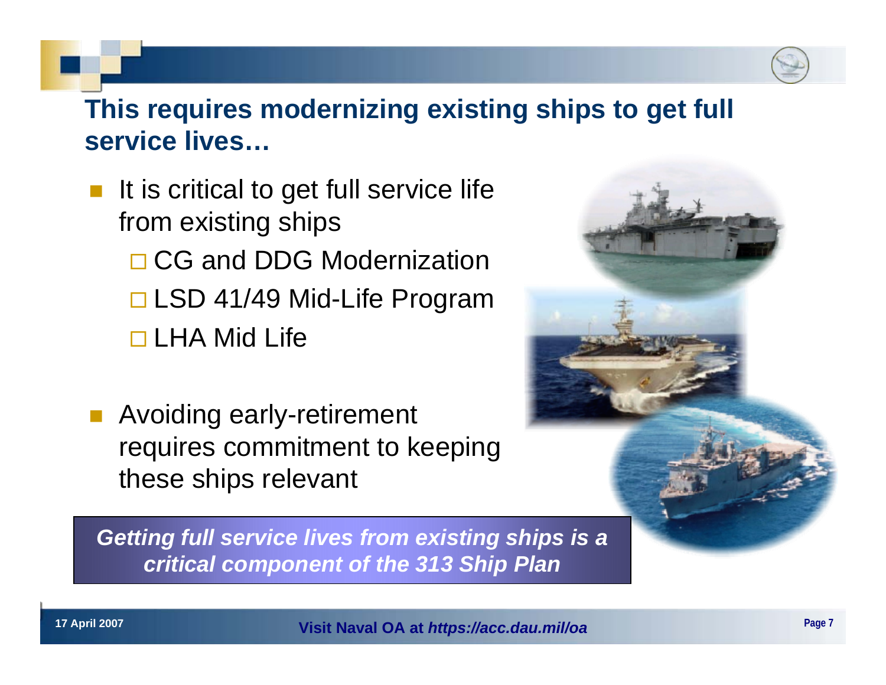## **This requires modernizing existing ships to get full service lives…**

 $\overline{\mathbb{R}}$  It is critical to get full service life from existing ships □ CG and DDG Modernization □ LSD 41/49 Mid-Life Program

□ LHA Mid Life

 Avoiding early-retirement requires commitment to keeping these ships relevant

*Getting full service lives from existing ships is a critical component of the 313 Ship Plan*



**17 April 2007 Page 7 Visit Naval OA at** *https://acc.dau.mil/oa*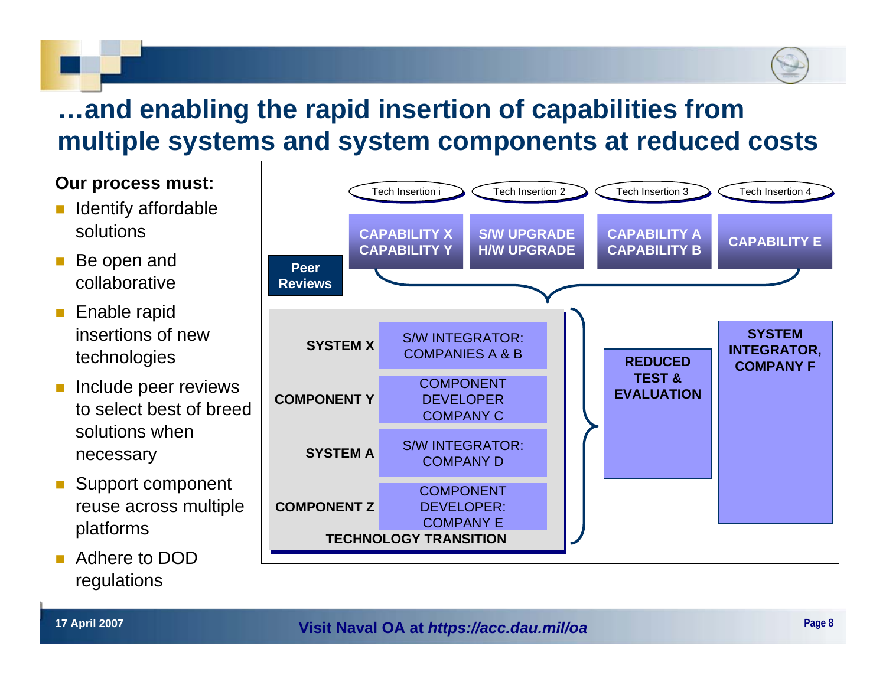# **…and enabling the rapid insertion of capabilities from multiple systems and system components at reduced costs**

#### **Our process must:**

- Identify affordable solutions
- Be open and collaborative
- $\mathbb{R}^2$  Enable rapid insertions of new technologies
- Include peer reviews to select best of breed solutions when necessary
- Support component reuse across multiple platforms
- Adhere to DOD regulations

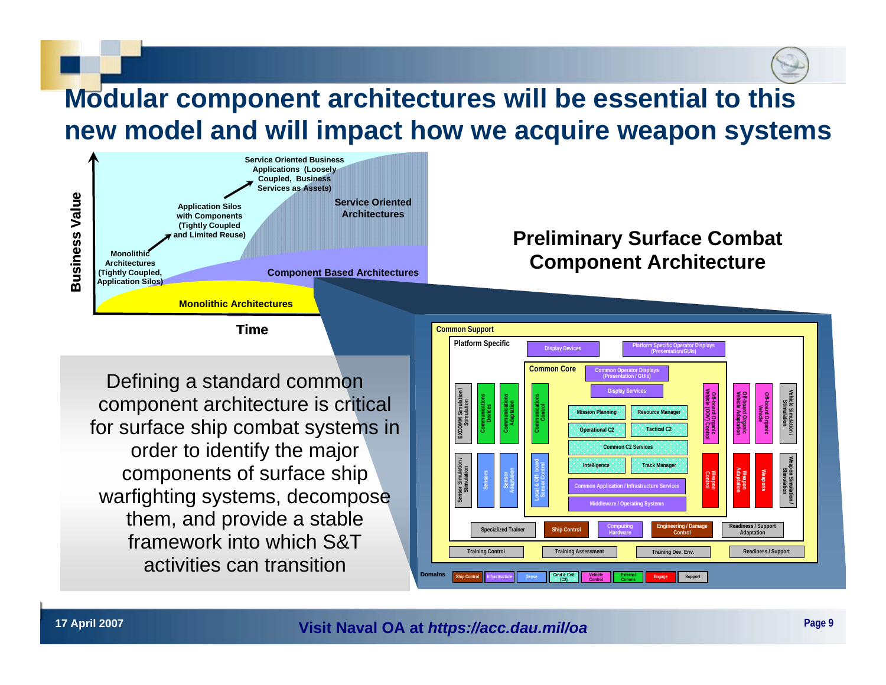## **Modular component architectures will be essential to this new model and will impact how we acquire weapon systems**



#### **Time**

Defining a standard common component architecture is critical for surface ship combat systems in order to identify the major components of surface ship warfighting systems, decompose them, and provide a stable framework into which S&T activities can transition

## **Preliminary Surface Combat Component Architecture**

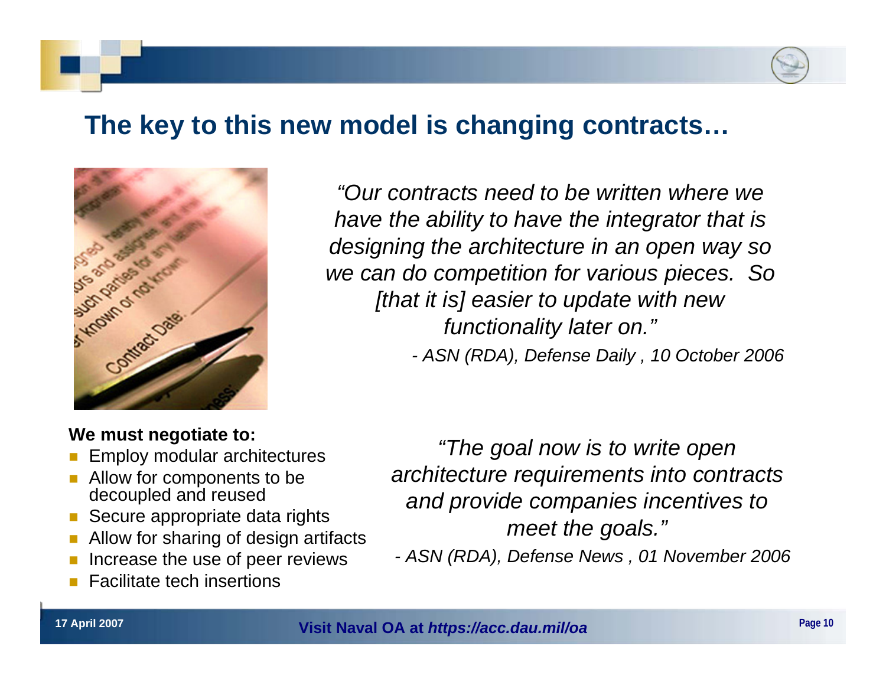## **The key to this new model is changing contracts…**



*"Our contracts need to be written where we have the ability to have the integrator that is designing the architecture in an open way so we can do competition for various pieces. So [that it is] easier to update with new functionality later on." - ASN (RDA), Defense Daily , 10 October 2006*

#### **We must negotiate to:**

- Employ modular architectures
- Allow for components to be decoupled and reused
- F Secure appropriate data rights
- Allow for sharing of design artifacts
- Increase the use of peer reviews
- Г Facilitate tech insertions

*"The goal now is to write open architecture requirements into contracts and provide companies incentives to meet the goals."*

*- ASN (RDA), Defense News , 01 November 2006*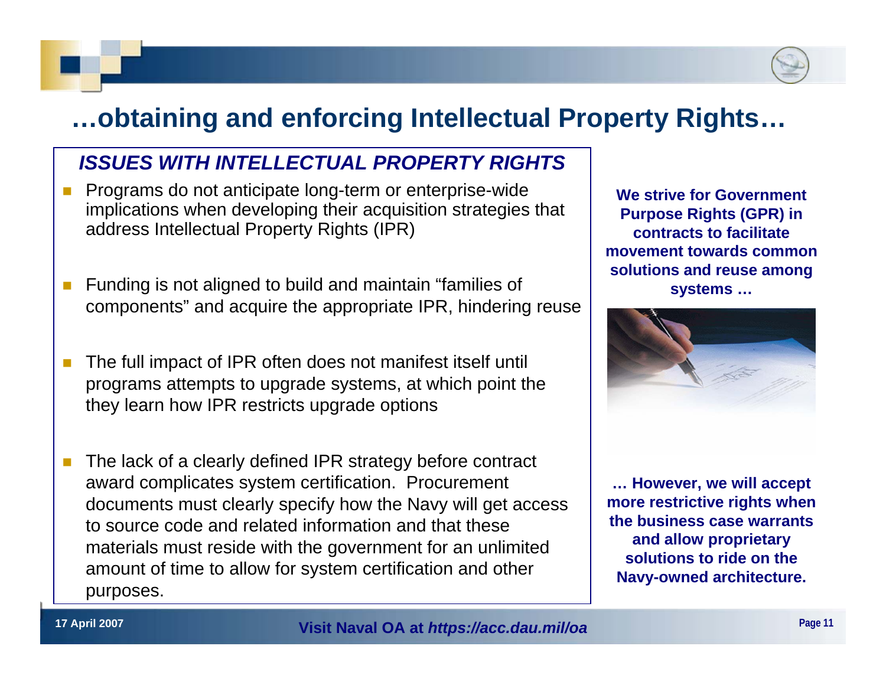## **…obtaining and enforcing Intellectual Property Rights…**

## *ISSUES WITH INTELLECTUAL PROPERTY RIGHTS*

- $\mathcal{C}^{\mathcal{A}}$  Programs do not anticipate long-term or enterprise-wide implications when developing their acquisition strategies that address Intellectual Property Rights (IPR)
- F Funding is not aligned to build and maintain "families of components" and acquire the appropriate IPR, hindering reuse
- The full impact of IPR often does not manifest itself until programs attempts to upgrade systems, at which point the they learn how IPR restricts upgrade options
- The lack of a clearly defined IPR strategy before contract award complicates system certification. Procurement documents must clearly specify how the Navy will get access to source code and related information and that these materials must reside with the government for an unlimited amount of time to allow for system certification and other purposes.

**We strive for Government Purpose Rights (GPR) in contracts to facilitate movement towards common solutions and reuse among systems …**



**… However, we will accept more restrictive rights when the business case warrants and allow proprietary solutions to ride on the Navy-owned architecture.**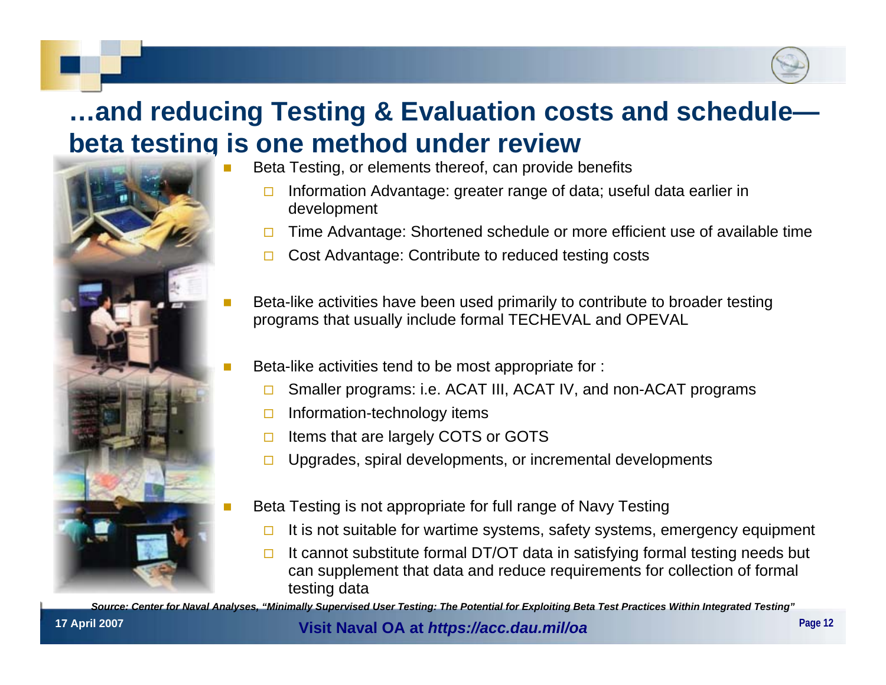## **…and reducing Testing & Evaluation costs and schedule beta testing is one method under review**



- Beta Testing, or elements thereof, can provide benefits
	- П Information Advantage: greater range of data; useful data earlier in development
	- $\Box$ Time Advantage: Shortened schedule or more efficient use of available time
	- $\Box$ Cost Advantage: Contribute to reduced testing costs
- Beta-like activities have been used primarily to contribute to broader testing programs that usually include formal TECHEVAL and OPEVAL
- Beta-like activities tend to be most appropriate for :
	- $\Box$ Smaller programs: i.e. ACAT III, ACAT IV, and non-ACAT programs
	- $\Box$ Information-technology items
	- $\Box$ Items that are largely COTS or GOTS
	- $\Box$ Upgrades, spiral developments, or incremental developments
- Beta Testing is not appropriate for full range of Navy Testing
	- $\Box$ It is not suitable for wartime systems, safety systems, emergency equipment
	- $\Box$  It cannot substitute formal DT/OT data in satisfying formal testing needs but can supplement that data and reduce requirements for collection of formal testing data

*Source: Center for Naval Analyses, "Minimally Supervised User Testing: The Potential for Exploiting Beta Test Practices Within Integrated Testing"*

#### **17 April 2007 Page 12 Visit Naval OA at** *https://acc.dau.mil/oa*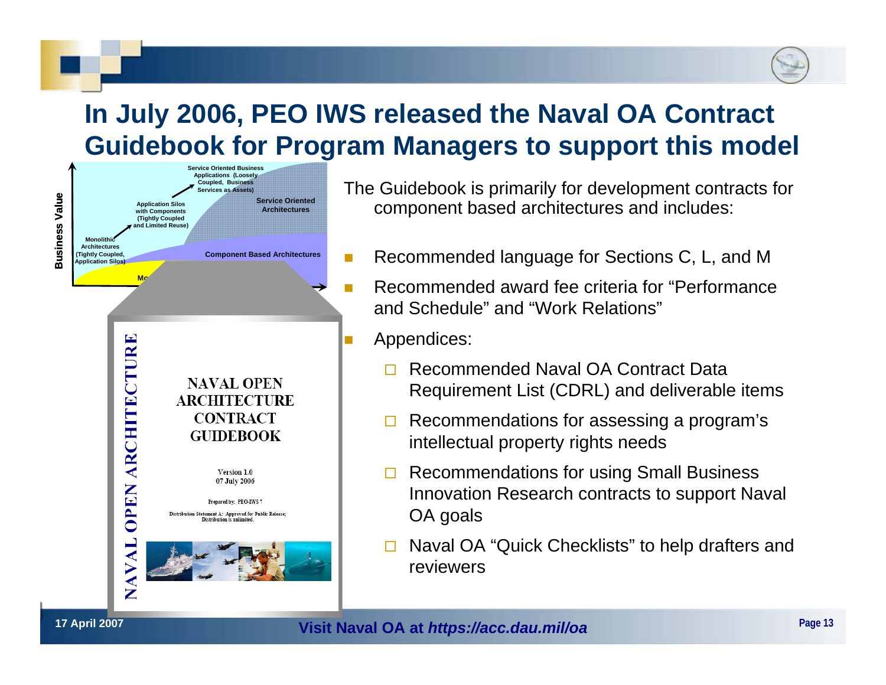## **In July 2006, PEO IWS released the Naval OA Contract Guidebook for Program Managers to support this model**



The Guidebook is primarily for development contracts for component based architectures and includes:

- F Recommended language for Sections C, L, and M
	- Recommended award fee criteria for "Performance and Schedule" and "Work Relations"
	- Appendices:

F

F

- $\Box$  Recommended Naval OA Contract Data Requirement List (CDRL) and deliverable items
- $\blacksquare$  Recommendations for assessing a program's intellectual property rights needs
- $\Box$  Recommendations for using Small Business Innovation Research contracts to support Naval OA goals
- $\Box$  Naval OA "Quick Checklists" to help drafters and reviewers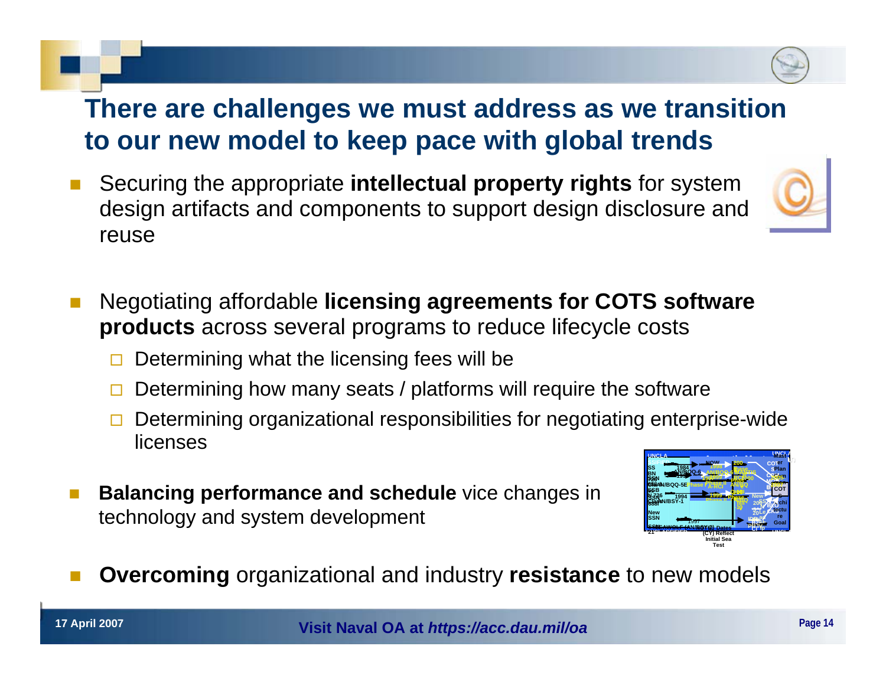## **There are challenges we must address as we transition to our new model to keep pace with global trends**

- F Securing the appropriate **intellectual property rights** for system design artifacts and components to support design disclosure and reuse
- Г Negotiating affordable **licensing agreements for COTS software products** across several programs to reduce lifecycle costs
	- $\Box$ Determining what the licensing fees will be
	- $\Box$ Determining how many seats / platforms will require the software
	- $\Box$  Determining organizational responsibilities for negotiating enterprise-wide licenses
- **Balancing performance and schedule** vice changes in **the same of the set of the set of the set of the set of the set of the set of the set of the set of the set of the set of the set of the set of the set of the set of th** technology and system development



F **Overcoming** organizational and industry **resistance** to new models



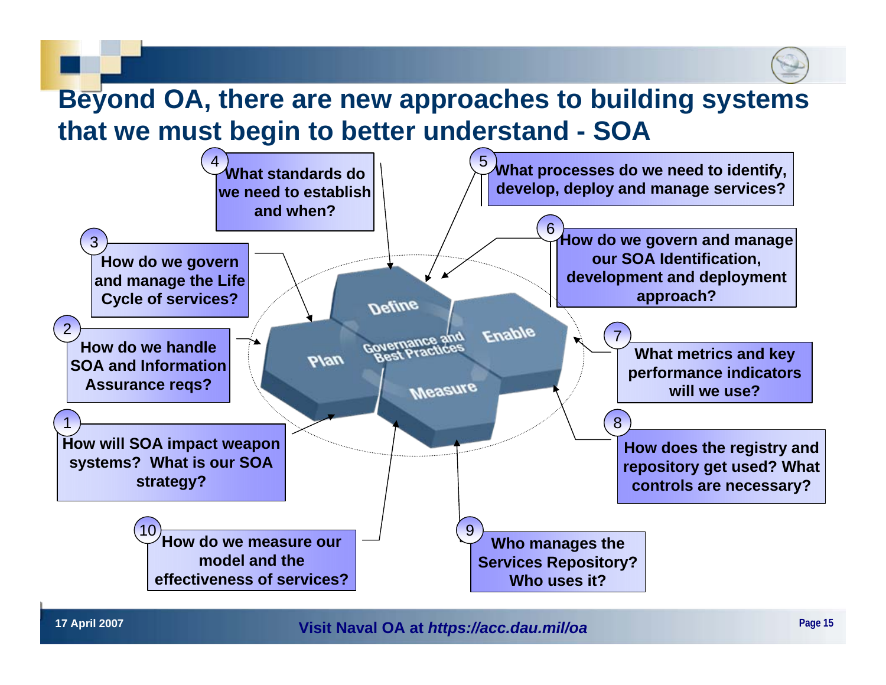# **Beyond OA, there are new approaches to building systems that we must begin to better understand - SOA**



**17 April 2007 Page 15 Visit Naval OA at** *https://acc.dau.mil/oa*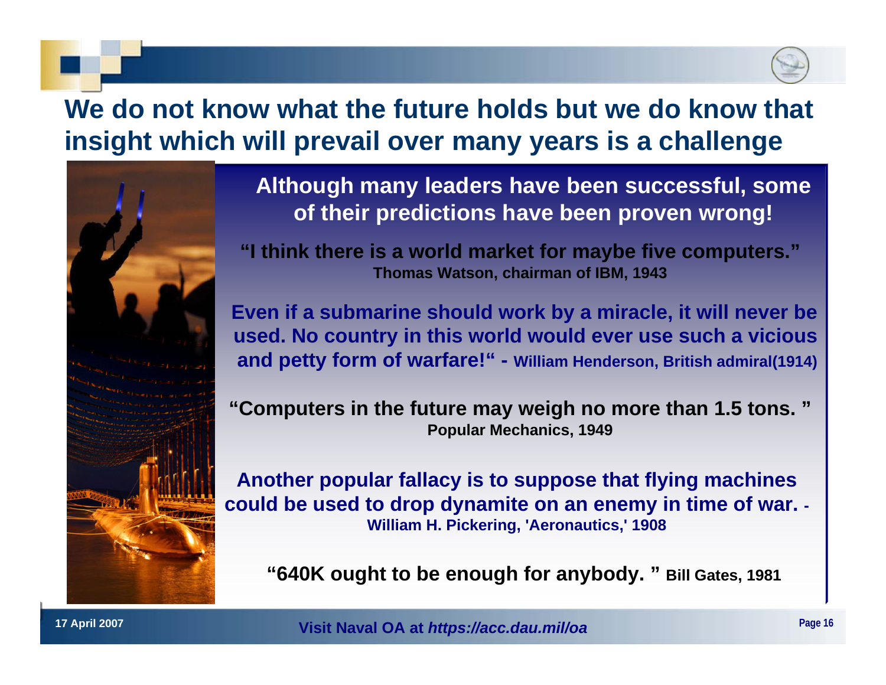## **We do not know what the future holds but we do know that insight which will prevail over many years is a challenge**



**Although many leaders have been successful, some of their predictions have been proven wrong!** 

**"I think there is a world market for maybe five computers." Thomas Watson, chairman of IBM, 1943**

**Even if a submarine should work by a miracle, it will never be used. No country in this world would ever use such a vicious and petty form of warfare!" - William Henderson, British admiral(1914)** 

**"Computers in the future may weigh no more than 1.5 tons. " Popular Mechanics, 1949**

**Another popular fallacy is to suppose that flying machines could be used to drop dynamite on an enemy in time of war. - William H. Pickering, 'Aeronautics,' 1908**

**"640K ought to be enough for anybody. " Bill Gates, 1981**

**17 April 2007 Page 16 Visit Naval OA at** *https://acc.dau.mil/oa*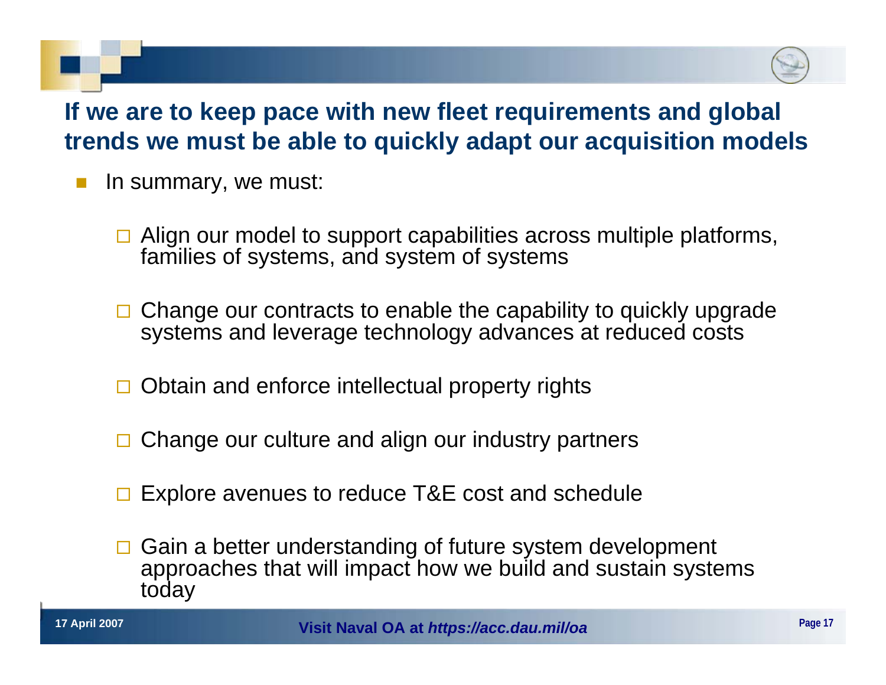## **If we are to keep pace with new fleet requirements and global trends we must be able to quickly adapt our acquisition models**

- In summary, we must:
	- $\Box$  Align our model to support capabilities across multiple platforms, families of systems, and system of systems
	- □ Change our contracts to enable the capability to quickly upgrade systems and leverage technology advances at reduced costs
	- □ Obtain and enforce intellectual property rights
	- $\Box$ Change our culture and align our industry partners
	- **□ Explore avenues to reduce T&E cost and schedule**
	- $\Box$  Gain a better understanding of future system development approaches that will impact how we build and sustain systems today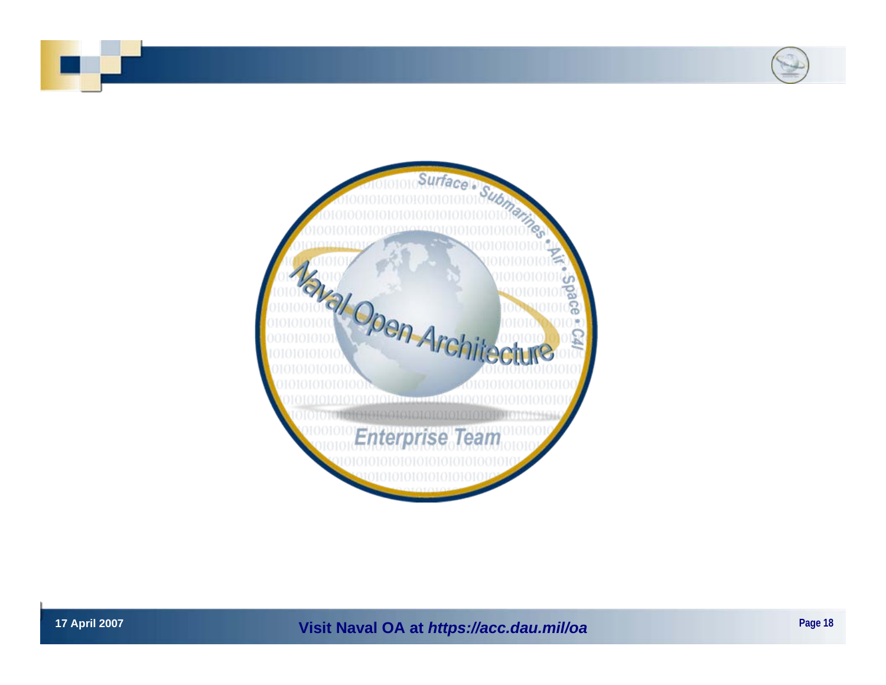



**17 April 2007 Page 18 Visit Naval OA at** *https://acc.dau.mil/oa*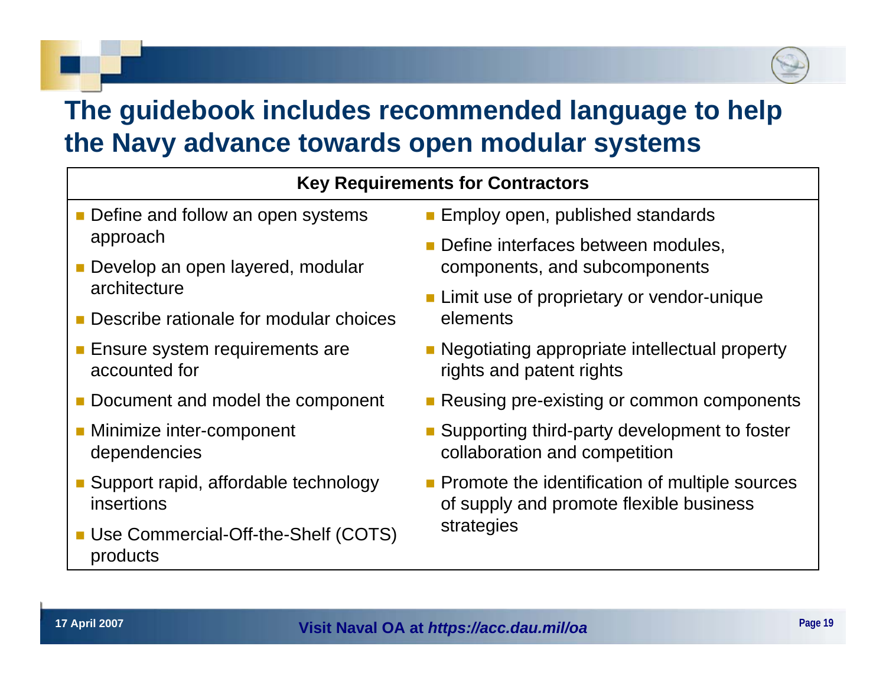## **The guidebook includes recommended language to help the Navy advance towards open modular systems**

### **Key Requirements for Contractors**

- Define and follow an open systems approach
- **Develop an open layered, modular** architecture
- Describe rationale for modular choices
- **Ensure system requirements are** accounted for
- Document and model the component
- **Minimize inter-component** dependencies
- Support rapid, affordable technology insertions
- **Use Commercial-Off-the-Shelf (COTS)** products
- **Employ open, published standards**
- **Define interfaces between modules,** components, and subcomponents
- **Limit use of proprietary or vendor-unique** elements
- **Negotiating appropriate intellectual property** rights and patent rights
- **Reusing pre-existing or common components**
- Supporting third-party development to foster collaboration and competition
- **Promote the identification of multiple sources** of supply and promote flexible business strategies